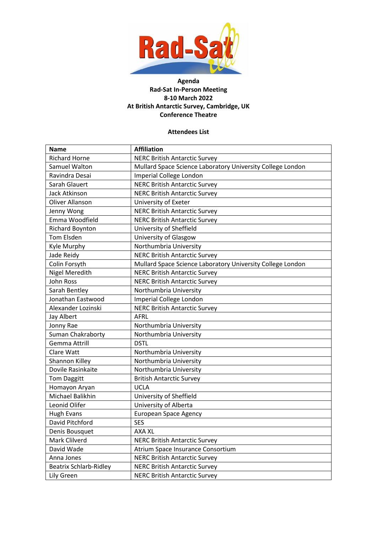

## **Agenda Rad-Sat In-Person Meeting 8-10 March 2022 At British Antarctic Survey, Cambridge, UK Conference Theatre**

## **Attendees List**

| <b>Name</b>                   | <b>Affiliation</b>                                         |
|-------------------------------|------------------------------------------------------------|
| <b>Richard Horne</b>          | <b>NERC British Antarctic Survey</b>                       |
| Samuel Walton                 | Mullard Space Science Laboratory University College London |
| Ravindra Desai                | Imperial College London                                    |
| Sarah Glauert                 | <b>NERC British Antarctic Survey</b>                       |
| <b>Jack Atkinson</b>          | <b>NERC British Antarctic Survey</b>                       |
| <b>Oliver Allanson</b>        | University of Exeter                                       |
| Jenny Wong                    | <b>NERC British Antarctic Survey</b>                       |
| Emma Woodfield                | <b>NERC British Antarctic Survey</b>                       |
| <b>Richard Boynton</b>        | University of Sheffield                                    |
| Tom Elsden                    | University of Glasgow                                      |
| Kyle Murphy                   | Northumbria University                                     |
| Jade Reidy                    | <b>NERC British Antarctic Survey</b>                       |
| Colin Forsyth                 | Mullard Space Science Laboratory University College London |
| <b>Nigel Meredith</b>         | <b>NERC British Antarctic Survey</b>                       |
| John Ross                     | <b>NERC British Antarctic Survey</b>                       |
| Sarah Bentley                 | Northumbria University                                     |
| Jonathan Eastwood             | Imperial College London                                    |
| Alexander Lozinski            | <b>NERC British Antarctic Survey</b>                       |
| Jay Albert                    | AFRL                                                       |
| Jonny Rae                     | Northumbria University                                     |
| Suman Chakraborty             | Northumbria University                                     |
| Gemma Attrill                 | <b>DSTL</b>                                                |
| Clare Watt                    | Northumbria University                                     |
| Shannon Killey                | Northumbria University                                     |
| Dovile Rasinkaite             | Northumbria University                                     |
| <b>Tom Daggitt</b>            | <b>British Antarctic Survey</b>                            |
| Homayon Aryan                 | <b>UCLA</b>                                                |
| Michael Balikhin              | University of Sheffield                                    |
| Leonid Olifer                 | University of Alberta                                      |
| <b>Hugh Evans</b>             | <b>European Space Agency</b>                               |
| David Pitchford               | <b>SES</b>                                                 |
| Denis Bousquet                | <b>AXA XL</b>                                              |
| Mark Clilverd                 | <b>NERC British Antarctic Survey</b>                       |
| David Wade                    | Atrium Space Insurance Consortium                          |
| Anna Jones                    | <b>NERC British Antarctic Survey</b>                       |
| <b>Beatrix Schlarb-Ridley</b> | <b>NERC British Antarctic Survey</b>                       |
| Lily Green                    | <b>NERC British Antarctic Survey</b>                       |